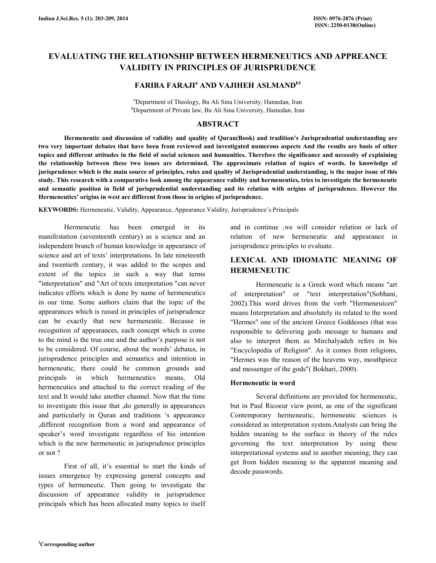# EVALUATING THE RELATIONSHIP BETWEEN HERMENEUTICS AND APPREANCE VALIDITY IN PRINCIPLES OF JURISPRUDENCE

# FARIBA FARAJI<sup>a</sup> AND VAJIHEH ASLMAND<sup>b1</sup>

<sup>a</sup>Department of Theology, Bu Ali Sina University, Hamedan, Iran <sup>b</sup>Department of Private law, Bu Ali Sina University, Hamedan, Iran

### ABSTRACT

 Hermeneutic and discussion of validity and quality of Quran(Book) and tradition's Jurisprudential understanding are two very important debates that have been from reviewed and investigated numerous aspects And the results are basis of other topics and different attitudes in the field of social sciences and humanities. Therefore the significance and necessity of explaining the relationship between these two issues are determined. The approximate relation of topics of words. In knowledge of jurisprudence which is the main source of principles, rules and quality of Jurisprudential understanding, is the major issue of this study. This research with a comparative look among the appearance validity and hermeneutics, tries to investigate the hermeneutic and semantic position in field of jurisprudential understanding and its relation with origins of jurisprudence. However the Hermeneutics' origins in west are different from those in origins of jurisprudence.

KEYWORDS: Hermeneutic, Validity, Appearance, Appearance Validity, Jurisprudence's Principals

 Hermeneutic has been emerged in its manifestation (seventeenth century) as a science and an independent branch of human knowledge in appearance of science and art of texts' interpretations. In late nineteenth and twentieth century, it was added to the scopes and extent of the topics .in such a way that terms "interpretation" and "Art of texts interpretation "can never indicates efforts which is done by name of hermeneutics in our time. Some authors claim that the topic of the appearances which is raised in principles of jurisprudence can be exactly that new hermeneutic. Because in recognition of appearances, each concept which is come to the mind is the true one and the author's purpose is not to be considered. Of course, about the words' debates, in jurisprudence principles and semantics and intention in hermeneutic, there could be common grounds and principals in which hermeneutics means, Old hermeneutics and attached to the correct reading of the text and It would take another channel. Now that the time to investigate this issue that ,do generally in appearances and particularly in Quran and traditions 's appearance ,different recognition from a word and appearance of speaker's word investigate regardless of his intention which is the new hermeneutic in jurisprudence principles or not ?

 First of all, it's essential to start the kinds of issues emergence by expressing general concepts and types of hermeneutic. Then going to investigate the discussion of appearance validity in jurisprudence principals which has been allocated many topics to itself

and in continue ,we will consider relation or lack of relation of new hermeneutic and appearance in jurisprudence principles to evaluate.

# LEXICAL AND IDIOMATIC MEANING OF HERMENEUTIC

 Hermeneutic is a Greek word which means "art of interpretation" or "text interpretation"(Sobhani, 2002).This word drives from the verb "Hermeneuicen" means Interpretation and absolutely its related to the word "Hermes" one of the ancient Greece Goddesses (that was responsible to delivering gods message to humans and also to interpret them as Mirchalyadeh refers in his "Encyclopedia of Religion". As it comes from religions, "Hermes was the reason of the heavens way, mouthpiece and messenger of the gods"( Bokhari, 2000).

### Hermeneutic in word

 Several definitions are provided for hermeneutic, but in Paul Ricoeur view point, as one of the significant Contemporary hermeneutic, hermeneutic sciences is considered as interpretation system.Analysts can bring the hidden meaning to the surface in theory of the rules governing the text interpretation by using these interpretational systems and in another meaning; they can get from hidden meaning to the apparent meaning and decode passwords.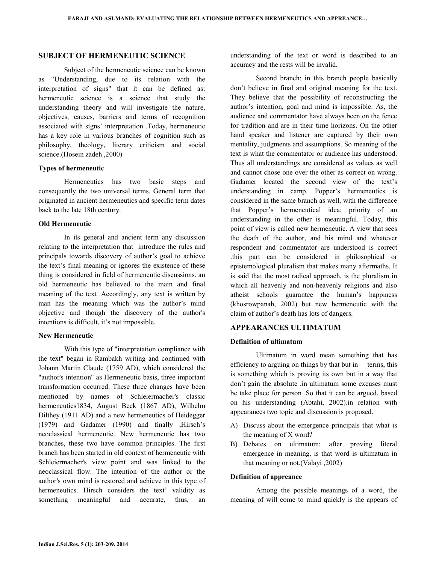### SUBJECT OF HERMENEUTIC SCIENCE

 Subject of the hermeneutic science can be known as "Understanding, due to its relation with the interpretation of signs" that it can be defined as: hermeneutic science is a science that study the understanding theory and will investigate the nature, objectives, causes, barriers and terms of recognition associated with signs' interpretation .Today, hermeneutic has a key role in various branches of cognition such as philosophy, theology, literary criticism and social science.(Hosein zadeh ,2000)

#### Types of hermeneutic

 Hermeneutics has two basic steps and consequently the two universal terms. General term that originated in ancient hermeneutics and specific term dates back to the late 18th century.

### Old Hermeneutic

 In its general and ancient term any discussion relating to the interpretation that introduce the rules and principals towards discovery of author's goal to achieve the text's final meaning or ignores the existence of these thing is considered in field of hermeneutic discussions. an old hermeneutic has believed to the main and final meaning of the text .Accordingly, any text is written by man has the meaning which was the author's mind objective and though the discovery of the author's intentions is difficult, it's not impossible.

#### New Hermeneutic

 With this type of "interpretation compliance with the text" began in Rambakh writing and continued with Johann Martin Claude (1759 AD), which considered the "author's intention" as Hermeneutic basis, three important transformation occurred. These three changes have been mentioned by names of Schleiermacher's classic hermeneutics1834, August Beck (1867 AD), Wilhelm Dilthey (1911 AD) and a new hermeneutics of Heidegger (1979) and Gadamer (1990) and finally ,Hirsch's neoclassical hermeneutic. New hermeneutic has two branches, these two have common principles. The first branch has been started in old context of hermeneutic with Schleiermacher's view point and was linked to the neoclassical flow. The intention of the author or the author's own mind is restored and achieve in this type of hermeneutics. Hirsch considers the text' validity as something meaningful and accurate, thus, an

understanding of the text or word is described to an accuracy and the rests will be invalid.

 Second branch: in this branch people basically don't believe in final and original meaning for the text. They believe that the possibility of reconstructing the author's intention, goal and mind is impossible. As, the audience and commentator have always been on the fence for tradition and are in their time horizons. On the other hand speaker and listener are captured by their own mentality, judgments and assumptions. So meaning of the text is what the commentator or audience has understood. Thus all understandings are considered as values as well and cannot chose one over the other as correct on wrong. Gadamer located the second view of the text's understanding in camp. Popper's hermeneutics is considered in the same branch as well, with the difference that Popper's hermeneutical idea; priority of an understanding in the other is meaningful. Today, this point of view is called new hermeneutic. A view that sees the death of the author, and his mind and whatever respondent and commentator are understood is correct .this part can be considered in philosophical or epistemological pluralism that makes many aftermaths. It is said that the most radical approach, is the pluralism in which all heavenly and non-heavenly religions and also atheist schools guarantee the human's happiness (khosrowpanah, 2002) but new hermeneutic with the claim of author's death has lots of dangers.

### APPEARANCES ULTIMATUM

#### Definition of ultimatum

 Ultimatum in word mean something that has efficiency to arguing on things by that but in terms, this is something which is proving its own but in a way that don't gain the absolute .in ultimatum some excuses must be take place for person .So that it can be argued, based on his understanding (Abtahi, 2002).in relation with appearances two topic and discussion is proposed.

- A) Discuss about the emergence principals that what is the meaning of X word?
- B) Debates on ultimatum: after proving literal emergence in meaning, is that word is ultimatum in that meaning or not.(Valayi ,2002)

### Definition of appreance

 Among the possible meanings of a word, the meaning of will come to mind quickly is the appears of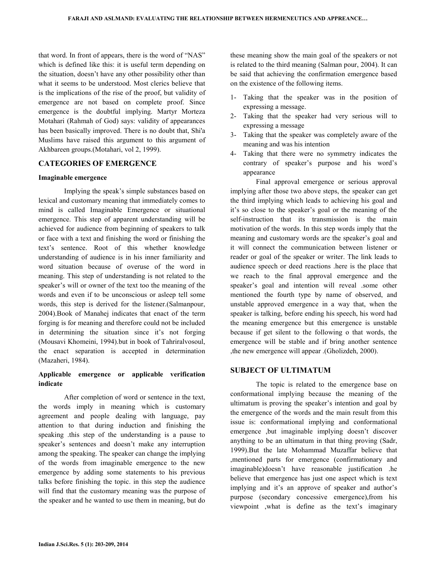that word. In front of appears, there is the word of "NAS" which is defined like this: it is useful term depending on the situation, doesn't have any other possibility other than what it seems to be understood. Most clerics believe that is the implications of the rise of the proof, but validity of emergence are not based on complete proof. Since emergence is the doubtful implying. Martyr Morteza Motahari (Rahmah of God) says: validity of appearances has been basically improved. There is no doubt that, Shi'a Muslims have raised this argument to this argument of Akhbareen groups.(Motahari, vol 2, 1999).

## CATEGORIES OF EMERGENCE

### Imaginable emergence

 Implying the speak's simple substances based on lexical and customary meaning that immediately comes to mind is called Imaginable Emergence or situational emergence. This step of apparent understanding will be achieved for audience from beginning of speakers to talk or face with a text and finishing the word or finishing the text's sentence. Root of this whether knowledge understanding of audience is in his inner familiarity and word situation because of overuse of the word in meaning. This step of understanding is not related to the speaker's will or owner of the text too the meaning of the words and even if to be unconscious or asleep tell some words, this step is derived for the listener.(Salmanpour, 2004).Book of Manahej indicates that enact of the term forging is for meaning and therefore could not be included in determining the situation since it's not forging (Mousavi Khomeini, 1994).but in book of Tahriralvosoul, the enact separation is accepted in determination (Mazaheri, 1984).

## Applicable emergence or applicable verification indicate

 After completion of word or sentence in the text, the words imply in meaning which is customary agreement and people dealing with language, pay attention to that during induction and finishing the speaking .this step of the understanding is a pause to speaker's sentences and doesn't make any interruption among the speaking. The speaker can change the implying of the words from imaginable emergence to the new emergence by adding some statements to his previous talks before finishing the topic. in this step the audience will find that the customary meaning was the purpose of the speaker and he wanted to use them in meaning, but do

these meaning show the main goal of the speakers or not is related to the third meaning (Salman pour, 2004). It can be said that achieving the confirmation emergence based on the existence of the following items.

- 1- Taking that the speaker was in the position of expressing a message.
- 2- Taking that the speaker had very serious will to expressing a message
- 3- Taking that the speaker was completely aware of the meaning and was his intention
- 4- Taking that there were no symmetry indicates the contrary of speaker's purpose and his word's appearance

 Final approval emergence or serious approval implying after those two above steps, the speaker can get the third implying which leads to achieving his goal and it's so close to the speaker's goal or the meaning of the self-instruction that its transmission is the main motivation of the words. In this step words imply that the meaning and customary words are the speaker's goal and it will connect the communication between listener or reader or goal of the speaker or writer. The link leads to audience speech or deed reactions .here is the place that we reach to the final approval emergence and the speaker's goal and intention will reveal .some other mentioned the fourth type by name of observed, and unstable approved emergence in a way that, when the speaker is talking, before ending his speech, his word had the meaning emergence but this emergence is unstable because if get silent to the following o that words, the emergence will be stable and if bring another sentence ,the new emergence will appear .(Gholizdeh, 2000).

### SUBJECT OF ULTIMATUM

 The topic is related to the emergence base on conformational implying because the meaning of the ultimatum is proving the speaker's intention and goal by the emergence of the words and the main result from this issue is: conformational implying and conformational emergence ,but imaginable implying doesn't discover anything to be an ultimatum in that thing proving (Sadr, 1999).But the late Mohammad Muzaffar believe that ,mentioned parts for emergence (confirmationary and imaginable)doesn't have reasonable justification .he believe that emergence has just one aspect which is text implying and it's an approve of speaker and author's purpose (secondary concessive emergence),from his viewpoint ,what is define as the text's imaginary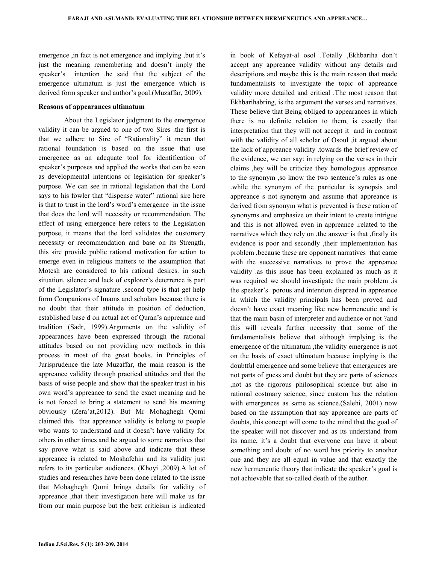emergence ,in fact is not emergence and implying ,but it's just the meaning remembering and doesn't imply the speaker's intention .he said that the subject of the emergence ultimatum is just the emergence which is derived form speaker and author's goal.(Muzaffar, 2009).

#### Reasons of appearances ultimatum

 About the Legislator judgment to the emergence validity it can be argued to one of two Sires .the first is that we adhere to Sire of "Rationality" it mean that rational foundation is based on the issue that use emergence as an adequate tool for identification of speaker's purposes and applied the works that can be seen as developmental intentions or legislation for speaker's purpose. We can see in rational legislation that the Lord says to his fowler that "dispense water" rational sire here is that to trust in the lord's word's emergence in the issue that does the lord will necessity or recommendation. The effect of using emergence here refers to the Legislation purpose, it means that the lord validates the customary necessity or recommendation and base on its Strength, this sire provide public rational motivation for action to emerge even in religious matters to the assumption that Motesh are considered to his rational desires. in such situation, silence and lack of explorer's deterrence is part of the Legislator's signature .second type is that get help form Companions of Imams and scholars because there is no doubt that their attitude in position of deduction, established base d on actual act of Quran's appreance and tradition (Sadr, 1999).Arguments on the validity of appearances have been expressed through the rational attitudes based on not providing new methods in this process in most of the great books. in Principles of Jurisprudence the late Muzaffar, the main reason is the appreance validity through practical attitudes and that the basis of wise people and show that the speaker trust in his own word's appreance to send the exact meaning and he is not forced to bring a statement to send his meaning obviously (Zera'at,2012). But Mr Mohaghegh Qomi claimed this that appreance validity is belong to people who wants to understand and it doesn't have validity for others in other times and he argued to some narratives that say prove what is said above and indicate that these appreance is related to Moshafehin and its validity just refers to its particular audiences. (Khoyi ,2009).A lot of studies and researches have been done related to the issue that Mohaghegh Qomi brings details for validity of appreance ,that their investigation here will make us far from our main purpose but the best criticism is indicated

in book of Kefayat-al osol .Totally ,Ekhbariha don't accept any appreance validity without any details and descriptions and maybe this is the main reason that made fundamentalists to investigate the topic of appreance validity more detailed and critical .The most reason that Ekhbarihabring, is the argument the verses and narratives. These believe that Being obliged to appearances in which there is no definite relation to them, is exactly that interpretation that they will not accept it and in contrast with the validity of all scholar of Osoul ,it argued about the lack of appreance validity .towards the brief review of the evidence, we can say: in relying on the verses in their claims ,hey will be criticize they homologous appreance to the synonym ,so know the two sentence's rules as one .while the synonym of the particular is synopsis and appreance s not synonym and assume that appreance is derived from synonym what is prevented is these ration of synonyms and emphasize on their intent to create intrigue and this is not allowed even in appreance .related to the narratives which they rely on ,the answer is that ,firstly its evidence is poor and secondly ,their implementation has problem ,because these are opponent narratives that came with the successive narratives to prove the appreance validity .as this issue has been explained as much as it was required we should investigate the main problem .is the speaker's porous and intention dispread in appreance in which the validity principals has been proved and doesn't have exact meaning like new hermeneutic and is that the main basin of interpreter and audience or not ?and this will reveals further necessity that :some of the fundamentalists believe that although implying is the emergence of the ultimatum ,the validity emergence is not on the basis of exact ultimatum because implying is the doubtful emergence and some believe that emergences are not parts of guess and doubt but they are parts of sciences ,not as the rigorous philosophical science but also in rational costmary science, since custom has the relation with emergences as same as science.(Salehi, 2001) now based on the assumption that say appreance are parts of doubts, this concept will come to the mind that the goal of the speaker will not discover and as its understand from its name, it's a doubt that everyone can have it about something and doubt of no word has priority to another one and they are all equal in value and that exactly the new hermeneutic theory that indicate the speaker's goal is not achievable that so-called death of the author.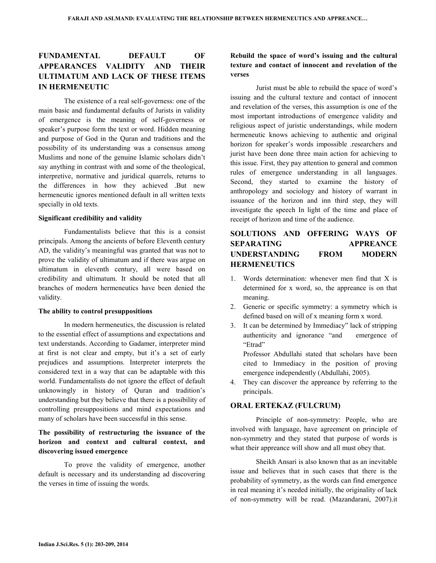# FUNDAMENTAL DEFAULT OF APPEARANCES VALIDITY AND THEIR ULTIMATUM AND LACK OF THESE ITEMS IN HERMENEUTIC

 The existence of a real self-governess: one of the main basic and fundamental defaults of Jurists in validity of emergence is the meaning of self-governess or speaker's purpose form the text or word. Hidden meaning and purpose of God in the Quran and traditions and the possibility of its understanding was a consensus among Muslims and none of the genuine Islamic scholars didn't say anything in contrast with and some of the theological, interpretive, normative and juridical quarrels, returns to the differences in how they achieved .But new hermeneutic ignores mentioned default in all written texts specially in old texts.

#### Significant credibility and validity

 Fundamentalists believe that this is a consist principals. Among the ancients of before Eleventh century AD, the validity's meaningful was granted that was not to prove the validity of ultimatum and if there was argue on ultimatum in eleventh century, all were based on credibility and ultimatum. It should be noted that all branches of modern hermeneutics have been denied the validity.

#### The ability to control presuppositions

 In modern hermeneutics, the discussion is related to the essential effect of assumptions and expectations and text understands. According to Gadamer, interpreter mind at first is not clear and empty, but it's a set of early prejudices and assumptions. Interpreter interprets the considered text in a way that can be adaptable with this world. Fundamentalists do not ignore the effect of default unknowingly in history of Quran and tradition's understanding but they believe that there is a possibility of controlling presuppositions and mind expectations and many of scholars have been successful in this sense.

## The possibility of restructuring the issuance of the horizon and context and cultural context, and discovering issued emergence

 To prove the validity of emergence, another default is necessary and its understanding ad discovering the verses in time of issuing the words.

# Rebuild the space of word's issuing and the cultural texture and contact of innocent and revelation of the verses

 Jurist must be able to rebuild the space of word's issuing and the cultural texture and contact of innocent and revelation of the verses, this assumption is one of the most important introductions of emergence validity and religious aspect of juristic understandings, while modern hermeneutic knows achieving to authentic and original horizon for speaker's words impossible .researchers and jurist have been done three main action for achieving to this issue. First, they pay attention to general and common rules of emergence understanding in all languages. Second, they started to examine the history of anthropology and sociology and history of warrant in issuance of the horizon and inn third step, they will investigate the speech In light of the time and place of receipt of horizon and time of the audience.

# SOLUTIONS AND OFFERING WAYS OF SEPARATING APPREANCE UNDERSTANDING FROM MODERN **HERMENEUTICS**

- 1. Words determination: whenever men find that X is determined for x word, so, the appreance is on that meaning.
- 2. Generic or specific symmetry: a symmetry which is defined based on will of x meaning form x word.
- 3. It can be determined by Immediacy" lack of stripping authenticity and ignorance "and emergence of "Etrad"

Professor Abdullahi stated that scholars have been cited to Immediacy in the position of proving emergence independently (Abdullahi, 2005).

4. They can discover the appreance by referring to the principals.

### ORAL ERTEKAZ (FULCRUM)

 Principle of non-symmetry: People, who are involved with language, have agreement on principle of non-symmetry and they stated that purpose of words is what their appreance will show and all must obey that.

 Sheikh Ansari is also known that as an inevitable issue and believes that in such cases that there is the probability of symmetry, as the words can find emergence in real meaning it's needed initially, the originality of lack of non-symmetry will be read. (Mazandarani, 2007).it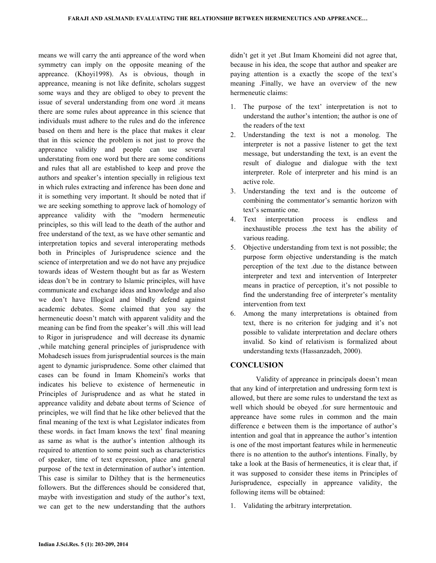means we will carry the anti appreance of the word when symmetry can imply on the opposite meaning of the appreance. (Khoyi1998). As is obvious, though in appreance, meaning is not like definite, scholars suggest some ways and they are obliged to obey to prevent the issue of several understanding from one word .it means there are some rules about appreance in this science that individuals must adhere to the rules and do the inference based on them and here is the place that makes it clear that in this science the problem is not just to prove the appreance validity and people can use several understating from one word but there are some conditions and rules that all are established to keep and prove the authors and speaker's intention specially in religious text in which rules extracting and inference has been done and it is something very important. It should be noted that if we are seeking something to approve lack of homology of appreance validity with the "modern hermeneutic principles, so this will lead to the death of the author and free understand of the text, as we have other semantic and interpretation topics and several interoperating methods both in Principles of Jurisprudence science and the science of interpretation and we do not have any prejudice towards ideas of Western thought but as far as Western ideas don't be in contrary to Islamic principles, will have communicate and exchange ideas and knowledge and also we don't have Illogical and blindly defend against academic debates. Some claimed that you say the hermeneutic doesn't match with apparent validity and the meaning can be find from the speaker's will .this will lead to Rigor in jurisprudence and will decrease its dynamic ,while matching general principles of jurisprudence with Mohadeseh issues from jurisprudential sources is the main agent to dynamic jurisprudence. Some other claimed that cases can be found in Imam Khomeini's works that indicates his believe to existence of hermeneutic in Principles of Jurisprudence and as what he stated in appreance validity and debate about terms of Science of principles, we will find that he like other believed that the final meaning of the text is what Legislator indicates from these words. in fact Imam knows the text' final meaning as same as what is the author's intention .although its required to attention to some point such as characteristics of speaker, time of text expression, place and general purpose of the text in determination of author's intention. This case is similar to Dilthey that is the hermeneutics followers. But the differences should be considered that, maybe with investigation and study of the author's text, we can get to the new understanding that the authors

didn't get it yet .But Imam Khomeini did not agree that, because in his idea, the scope that author and speaker are paying attention is a exactly the scope of the text's meaning .Finally, we have an overview of the new hermeneutic claims:

- 1. The purpose of the text' interpretation is not to understand the author's intention; the author is one of the readers of the text
- 2. Understanding the text is not a monolog. The interpreter is not a passive listener to get the text message, but understanding the text, is an event the result of dialogue and dialogue with the text interpreter. Role of interpreter and his mind is an active role.
- 3. Understanding the text and is the outcome of combining the commentator's semantic horizon with text's semantic one.
- 4. Text interpretation process is endless and inexhaustible process .the text has the ability of various reading.
- 5. Objective understanding from text is not possible; the purpose form objective understanding is the match perception of the text .due to the distance between interpreter and text and intervention of Interpreter means in practice of perception, it's not possible to find the understanding free of interpreter's mentality intervention from text
- 6. Among the many interpretations is obtained from text, there is no criterion for judging and it's not possible to validate interpretation and declare others invalid. So kind of relativism is formalized about understanding texts (Hassanzadeh, 2000).

### **CONCLUSION**

 Validity of appreance in principals doesn't mean that any kind of interpretation and undressing form text is allowed, but there are some rules to understand the text as well which should be obeyed .for sure hermentouic and appreance have some rules in common and the main difference e between them is the importance of author's intention and goal that in appreance the author's intention is one of the most important features while in hermeneutic there is no attention to the author's intentions. Finally, by take a look at the Basis of hermeneutics, it is clear that, if it was supposed to consider these items in Principles of Jurisprudence, especially in appreance validity, the following items will be obtained:

1. Validating the arbitrary interpretation.